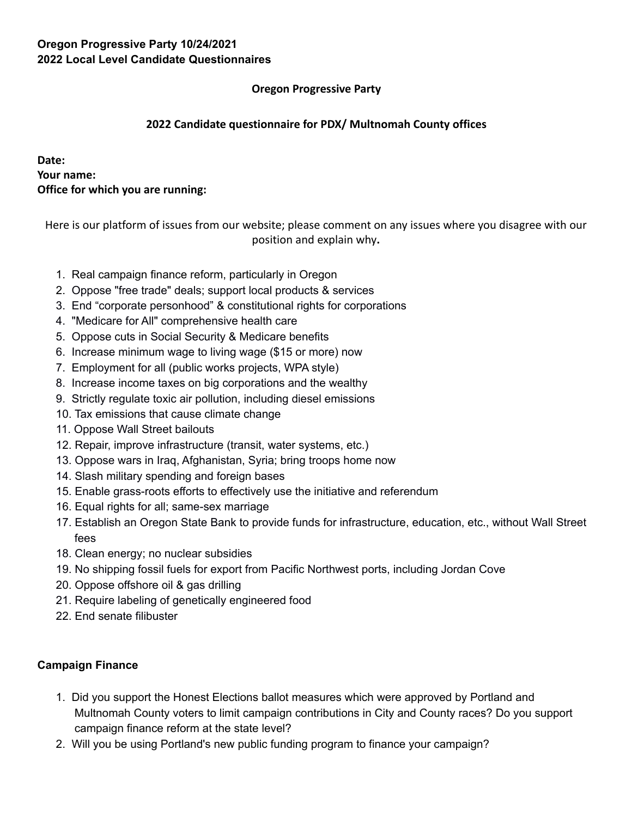#### **Oregon Progressive Party**

#### **2022 Candidate questionnaire for PDX/ Multnomah County offices**

**Date: Your name: Office for which you are running:**

Here is our platform of issues from our website; please comment on any issues where you disagree with our position and explain why**.**

- 1. Real campaign finance reform, particularly in Oregon
- 2. Oppose "free trade" deals; support local products & services
- 3. End "corporate personhood" & constitutional rights for corporations
- 4. "Medicare for All" comprehensive health care
- 5. Oppose cuts in Social Security & Medicare benefits
- 6. Increase minimum wage to living wage (\$15 or more) now
- 7. Employment for all (public works projects, WPA style)
- 8. Increase income taxes on big corporations and the wealthy
- 9. Strictly regulate toxic air pollution, including diesel emissions
- 10. Tax emissions that cause climate change
- 11. Oppose Wall Street bailouts
- 12. Repair, improve infrastructure (transit, water systems, etc.)
- 13. Oppose wars in Iraq, Afghanistan, Syria; bring troops home now
- 14. Slash military spending and foreign bases
- 15. Enable grass-roots efforts to effectively use the initiative and referendum
- 16. Equal rights for all; same-sex marriage
- 17. Establish an Oregon State Bank to provide funds for infrastructure, education, etc., without Wall Street fees
- 18. Clean energy; no nuclear subsidies
- 19. No shipping fossil fuels for export from Pacific Northwest ports, including Jordan Cove
- 20. Oppose offshore oil & gas drilling
- 21. Require labeling of genetically engineered food
- 22. End senate filibuster

### **Campaign Finance**

- 1. Did you support the Honest Elections ballot measures which were approved by Portland and Multnomah County voters to limit campaign contributions in City and County races? Do you support campaign finance reform at the state level?
- 2. Will you be using Portland's new public funding program to finance your campaign?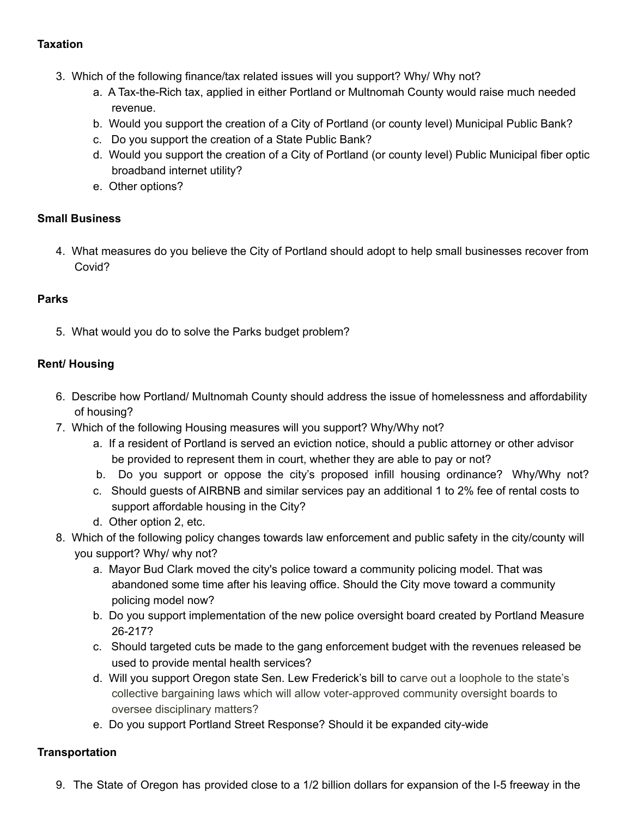### **Taxation**

- 3. Which of the following finance/tax related issues will you support? Why/ Why not?
	- a. A Tax-the-Rich tax, applied in either Portland or Multnomah County would raise much needed revenue.
	- b. Would you support the creation of a City of Portland (or county level) Municipal Public Bank?
	- c. Do you support the creation of a State Public Bank?
	- d. Would you support the creation of a City of Portland (or county level) Public Municipal fiber optic broadband internet utility?
	- e. Other options?

## **Small Business**

4. What measures do you believe the City of Portland should adopt to help small businesses recover from Covid?

# **Parks**

5. What would you do to solve the Parks budget problem?

# **Rent/ Housing**

- 6. Describe how Portland/ Multnomah County should address the issue of homelessness and affordability of housing?
- 7. Which of the following Housing measures will you support? Why/Why not?
	- a. If a resident of Portland is served an eviction notice, should a public attorney or other advisor be provided to represent them in court, whether they are able to pay or not?
	- b. Do you support or oppose the city's proposed infill housing ordinance? Why/Why not?
	- c. Should guests of AIRBNB and similar services pay an additional 1 to 2% fee of rental costs to support affordable housing in the City?
	- d. Other option 2, etc.
- 8. Which of the following policy changes towards law enforcement and public safety in the city/county will you support? Why/ why not?
	- a. Mayor Bud Clark moved the city's police toward a community policing model. That was abandoned some time after his leaving office. Should the City move toward a community policing model now?
	- b. Do you support implementation of the new police oversight board created by Portland Measure 26-217?
	- c. Should targeted cuts be made to the gang enforcement budget with the revenues released be used to provide mental health services?
	- d. Will you support Oregon state Sen. Lew Frederick's bill to carve out a loophole to the state's collective bargaining laws which will allow voter-approved community oversight boards to oversee disciplinary matters?
	- e. Do you support Portland Street Response? Should it be expanded city-wide

### **Transportation**

9. The State of Oregon has provided close to a 1/2 billion dollars for expansion of the I-5 freeway in the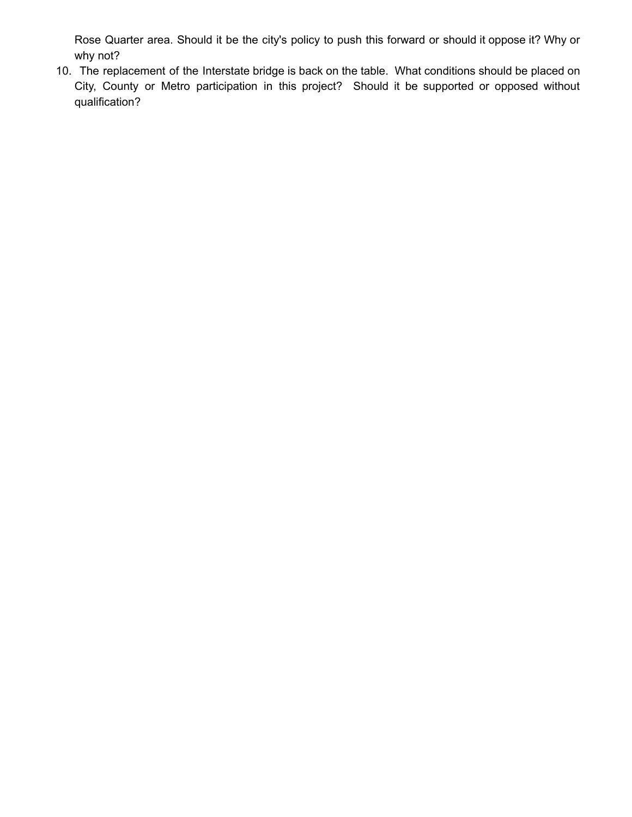Rose Quarter area. Should it be the city's policy to push this forward or should it oppose it? Why or why not?

10. The replacement of the Interstate bridge is back on the table. What conditions should be placed on City, County or Metro participation in this project? Should it be supported or opposed without qualification?